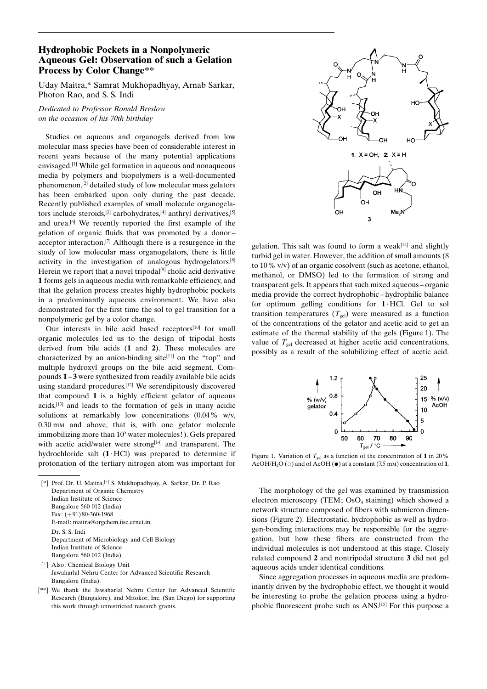## Hydrophobic Pockets in a Nonpolymeric Aqueous Gel: Observation of such a Gelation Process by Color Change\*\*

Uday Maitra,\* Samrat Mukhopadhyay, Arnab Sarkar, Photon Rao, and S. S. Indi

Dedicated to Professor Ronald Breslow on the occasion of his 70th birthday

Studies on aqueous and organogels derived from low molecular mass species have been of considerable interest in recent years because of the many potential applications envisaged.[1] While gel formation in aqueous and nonaqueous media by polymers and biopolymers is a well-documented phenomenon,[2] detailed study of low molecular mass gelators has been embarked upon only during the past decade. Recently published examples of small molecule organogelators include steroids,<sup>[3]</sup> carbohydrates, $[4]$  anthryl derivatives, $[5]$ and urea.[6] We recently reported the first example of the gelation of organic fluids that was promoted by a donoracceptor interaction.[7] Although there is a resurgence in the study of low molecular mass organogelators, there is little activity in the investigation of analogous hydrogelators.[8] Herein we report that a novel tripodal $[9]$  cholic acid derivative 1 forms gels in aqueous media with remarkable efficiency, and that the gelation process creates highly hydrophobic pockets in a predominantly aqueous environment. We have also demonstrated for the first time the sol to gel transition for a nonpolymeric gel by a color change.

Our interests in bile acid based receptors<sup>[10]</sup> for small organic molecules led us to the design of tripodal hosts derived from bile acids (1 and 2). These molecules are characterized by an anion-binding site<sup>[11]</sup> on the "top" and multiple hydroxyl groups on the bile acid segment. Compounds 1 - 3 were synthesized from readily available bile acids using standard procedures.[12] We serendipitously discovered that compound 1 is a highly efficient gelator of aqueous acids,[13] and leads to the formation of gels in many acidic solutions at remarkably low concentrations (0.04% w/v, 0.30 mm and above, that is, with one gelator molecule immobilizing more than 10<sup>5</sup> water molecules!). Gels prepared with acetic acid/water were strong<sup>[14]</sup> and transparent. The hydrochloride salt  $(1 \cdot HC)$  was prepared to determine if protonation of the tertiary nitrogen atom was important for

- [ ] Also: Chemical Biology Unit Jawaharlal Nehru Center for Advanced Scientific Research Bangalore (India).
- [\*\*] We thank the Jawaharlal Nehru Center for Advanced Scientific Research (Bangalore), and Mitokor, Inc. (San Diego) for supporting this work through unrestricted research grants.



gelation. This salt was found to form a weak $[14]$  and slightly turbid gel in water. However, the addition of small amounts (8 to 10% v/v) of an organic cosolvent (such as acetone, ethanol, methanol, or DMSO) led to the formation of strong and transparent gels. It appears that such mixed aqueous – organic media provide the correct hydrophobic – hydrophilic balance for optimum gelling conditions for  $1$  HCl. Gel to sol transition temperatures  $(T_{gel})$  were measured as a function of the concentrations of the gelator and acetic acid to get an estimate of the thermal stability of the gels (Figure 1). The value of  $T_{gel}$  decreased at higher acetic acid concentrations, possibly as a result of the solubilizing effect of acetic acid.



Figure 1. Variation of  $T_{gel}$  as a function of the concentration of 1 in 20% AcOH/H<sub>2</sub>O ( $\circ$ ) and of AcOH ( $\bullet$ ) at a constant (7.5 mm) concentration of 1.

The morphology of the gel was examined by transmission electron microscopy (TEM;  $OsO<sub>4</sub>$  staining) which showed a network structure composed of fibers with submicron dimensions (Figure 2). Electrostatic, hydrophobic as well as hydrogen-bonding interactions may be responsible for the aggregation, but how these fibers are constructed from the individual molecules is not understood at this stage. Closely related compound 2 and nontripodal structure 3 did not gel aqueous acids under identical conditions.

Since aggregation processes in aqueous media are predominantly driven by the hydrophobic effect, we thought it would be interesting to probe the gelation process using a hydrophobic fluorescent probe such as ANS.[15] For this purpose a

<sup>[\*]</sup> Prof. Dr. U. Maitra, [+] S. Mukhopadhyay, A. Sarkar, Dr. P. Rao Department of Organic Chemistry Indian Institute of Science Bangalore 560 012 (India) Fax:  $(+91)$  80-360-1968 E-mail: maitra@orgchem.iisc.ernet.in Dr. S. S. Indi Department of Microbiology and Cell Biology Indian Institute of Science Bangalore 560 012 (India)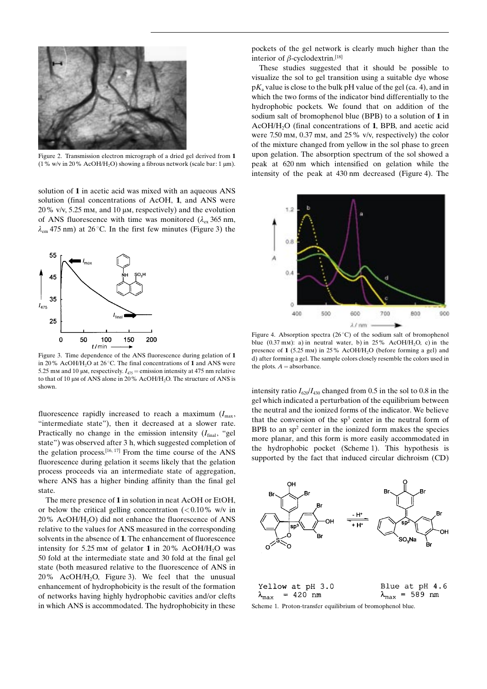

Figure 2. Transmission electron micrograph of a dried gel derived from 1 (1% w/v in 20% AcOH/H<sub>2</sub>O) showing a fibrous network (scale bar: 1  $\mu$ m).

solution of 1 in acetic acid was mixed with an aqueous ANS solution (final concentrations of AcOH, 1, and ANS were  $20\%$  v/v, 5.25 mm, and 10  $\mu$ m, respectively) and the evolution of ANS fluorescence with time was monitored ( $\lambda_{\rm ex}$  365 nm,  $\lambda_{\rm em}$  475 nm) at 26 °C. In the first few minutes (Figure 3) the



Figure 3. Time dependence of the ANS fluorescence during gelation of 1 in 20% AcOH/H<sub>2</sub>O at 26 °C. The final concentrations of 1 and ANS were 5.25 mm and 10  $\mu$ m, respectively.  $I_{475}$  = emission intensity at 475 nm relative to that of 10  $\mu$ m of ANS alone in 20% AcOH/H<sub>2</sub>O. The structure of ANS is shown.

fluorescence rapidly increased to reach a maximum  $(I<sub>max</sub>)$ "intermediate state"), then it decreased at a slower rate. Practically no change in the emission intensity  $(I<sub>final</sub>, "gel)$ state") was observed after 3 h, which suggested completion of the gelation process.<sup>[16, 17]</sup> From the time course of the ANS fluorescence during gelation it seems likely that the gelation process proceeds via an intermediate state of aggregation, where ANS has a higher binding affinity than the final gel state.

The mere presence of 1 in solution in neat AcOH or EtOH, or below the critical gelling concentration  $\ll 0.10\%$  w/v in  $20\%$  AcOH/H<sub>2</sub>O) did not enhance the fluorescence of ANS relative to the values for ANS measured in the corresponding solvents in the absence of 1. The enhancement of fluorescence intensity for 5.25 mm of gelator 1 in 20% AcOH/H<sub>2</sub>O was 50 fold at the intermediate state and 30 fold at the final gel state (both measured relative to the fluorescence of ANS in  $20\%$  AcOH/H<sub>2</sub>O, Figure 3). We feel that the unusual enhancement of hydrophobicity is the result of the formation of networks having highly hydrophobic cavities and/or clefts in which ANS is accommodated. The hydrophobicity in these

pockets of the gel network is clearly much higher than the interior of  $\beta$ -cyclodextrin.<sup>[18]</sup>

These studies suggested that it should be possible to visualize the sol to gel transition using a suitable dye whose  $pK_a$  value is close to the bulk pH value of the gel (ca. 4), and in which the two forms of the indicator bind differentially to the hydrophobic pockets. We found that on addition of the sodium salt of bromophenol blue (BPB) to a solution of 1 in AcOH/H<sub>2</sub>O (final concentrations of 1, BPB, and acetic acid were 7.50 mm, 0.37 mm, and 25% v/v, respectively) the color of the mixture changed from yellow in the sol phase to green upon gelation. The absorption spectrum of the sol showed a peak at 620 nm which intensified on gelation while the intensity of the peak at 430 nm decreased (Figure 4). The



Figure 4. Absorption spectra  $(26^{\circ}C)$  of the sodium salt of bromophenol blue  $(0.37 \text{ mm})$ : a) in neutral water, b) in 25% AcOH/H<sub>2</sub>O, c) in the presence of 1 (5.25 mm) in 25% AcOH/H2O (before forming a gel) and d) after forming a gel. The sample colors closely resemble the colors used in the plots.  $A =$ absorbance.

intensity ratio  $I_{620}/I_{430}$  changed from 0.5 in the sol to 0.8 in the gel which indicated a perturbation of the equilibrium between the neutral and the ionized forms of the indicator. We believe that the conversion of the  $sp<sup>3</sup>$  center in the neutral form of BPB to an  $sp<sup>2</sup>$  center in the ionized form makes the species more planar, and this form is more easily accommodated in the hydrophobic pocket (Scheme 1). This hypothesis is supported by the fact that induced circular dichroism (CD)



|                                 | Yellow at pH 3.0 | Blue at pH 4.6                  |
|---------------------------------|------------------|---------------------------------|
| $\lambda_{\text{max}}$ = 420 nm |                  | $\lambda_{\text{max}}$ = 589 nm |

Scheme 1. Proton-transfer equilibrium of bromophenol blue.